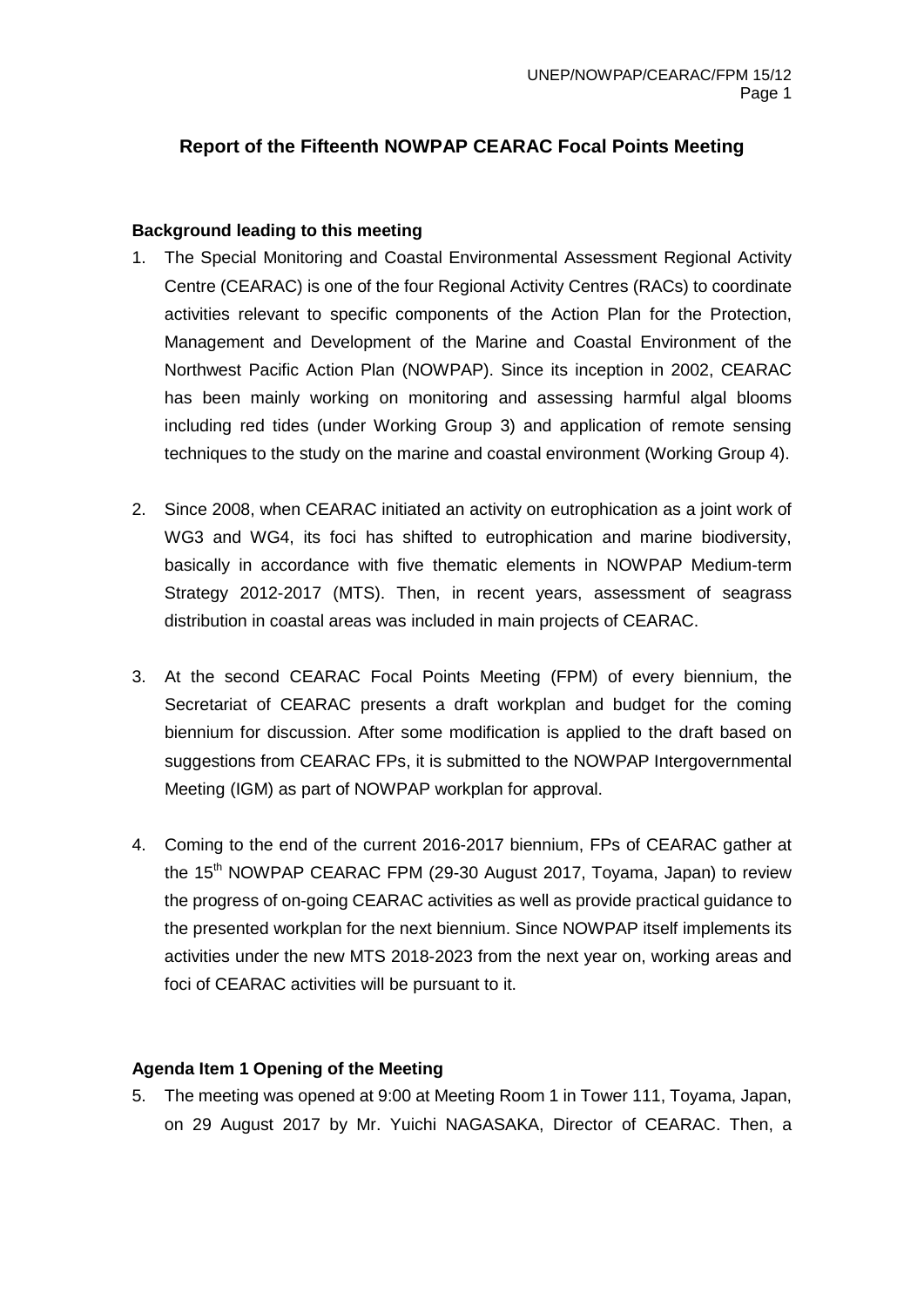### **Report of the Fifteenth NOWPAP CEARAC Focal Points Meeting**

#### **Background leading to this meeting**

- 1. The Special Monitoring and Coastal Environmental Assessment Regional Activity Centre (CEARAC) is one of the four Regional Activity Centres (RACs) to coordinate activities relevant to specific components of the Action Plan for the Protection, Management and Development of the Marine and Coastal Environment of the Northwest Pacific Action Plan (NOWPAP). Since its inception in 2002, CEARAC has been mainly working on monitoring and assessing harmful algal blooms including red tides (under Working Group 3) and application of remote sensing techniques to the study on the marine and coastal environment (Working Group 4).
- 2. Since 2008, when CEARAC initiated an activity on eutrophication as a joint work of WG3 and WG4, its foci has shifted to eutrophication and marine biodiversity, basically in accordance with five thematic elements in NOWPAP Medium-term Strategy 2012-2017 (MTS). Then, in recent years, assessment of seagrass distribution in coastal areas was included in main projects of CEARAC.
- 3. At the second CEARAC Focal Points Meeting (FPM) of every biennium, the Secretariat of CEARAC presents a draft workplan and budget for the coming biennium for discussion. After some modification is applied to the draft based on suggestions from CEARAC FPs, it is submitted to the NOWPAP Intergovernmental Meeting (IGM) as part of NOWPAP workplan for approval.
- 4. Coming to the end of the current 2016-2017 biennium, FPs of CEARAC gather at the  $15<sup>th</sup>$  NOWPAP CEARAC FPM (29-30 August 2017, Toyama, Japan) to review the progress of on-going CEARAC activities as well as provide practical guidance to the presented workplan for the next biennium. Since NOWPAP itself implements its activities under the new MTS 2018-2023 from the next year on, working areas and foci of CEARAC activities will be pursuant to it.

#### **Agenda Item 1 Opening of the Meeting**

5. The meeting was opened at 9:00 at Meeting Room 1 in Tower 111, Toyama, Japan, on 29 August 2017 by Mr. Yuichi NAGASAKA, Director of CEARAC. Then, a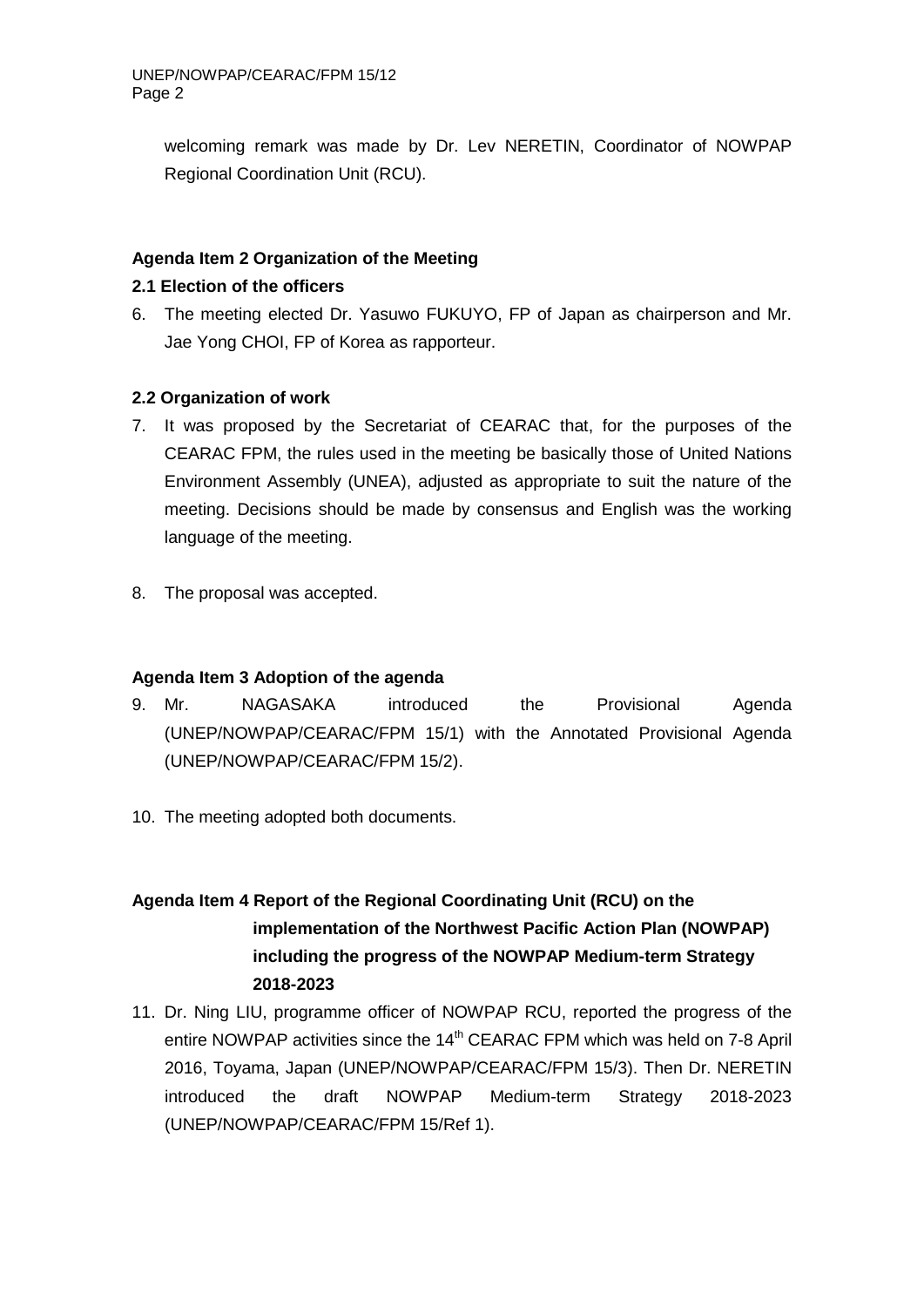welcoming remark was made by Dr. Lev NERETIN, Coordinator of NOWPAP Regional Coordination Unit (RCU).

### **Agenda Item 2 Organization of the Meeting**

#### **2.1 Election of the officers**

6. The meeting elected Dr. Yasuwo FUKUYO, FP of Japan as chairperson and Mr. Jae Yong CHOI, FP of Korea as rapporteur.

### **2.2 Organization of work**

- 7. It was proposed by the Secretariat of CEARAC that, for the purposes of the CEARAC FPM, the rules used in the meeting be basically those of United Nations Environment Assembly (UNEA), adjusted as appropriate to suit the nature of the meeting. Decisions should be made by consensus and English was the working language of the meeting.
- 8. The proposal was accepted.

### **Agenda Item 3 Adoption of the agenda**

- 9. Mr. NAGASAKA introduced the Provisional Agenda (UNEP/NOWPAP/CEARAC/FPM 15/1) with the Annotated Provisional Agenda (UNEP/NOWPAP/CEARAC/FPM 15/2).
- 10. The meeting adopted both documents.

# **Agenda Item 4 Report of the Regional Coordinating Unit (RCU) on the implementation of the Northwest Pacific Action Plan (NOWPAP) including the progress of the NOWPAP Medium-term Strategy 2018-2023**

11. Dr. Ning LIU, programme officer of NOWPAP RCU, reported the progress of the entire NOWPAP activities since the 14<sup>th</sup> CEARAC FPM which was held on 7-8 April 2016, Toyama, Japan (UNEP/NOWPAP/CEARAC/FPM 15/3). Then Dr. NERETIN introduced the draft NOWPAP Medium-term Strategy 2018-2023 (UNEP/NOWPAP/CEARAC/FPM 15/Ref 1).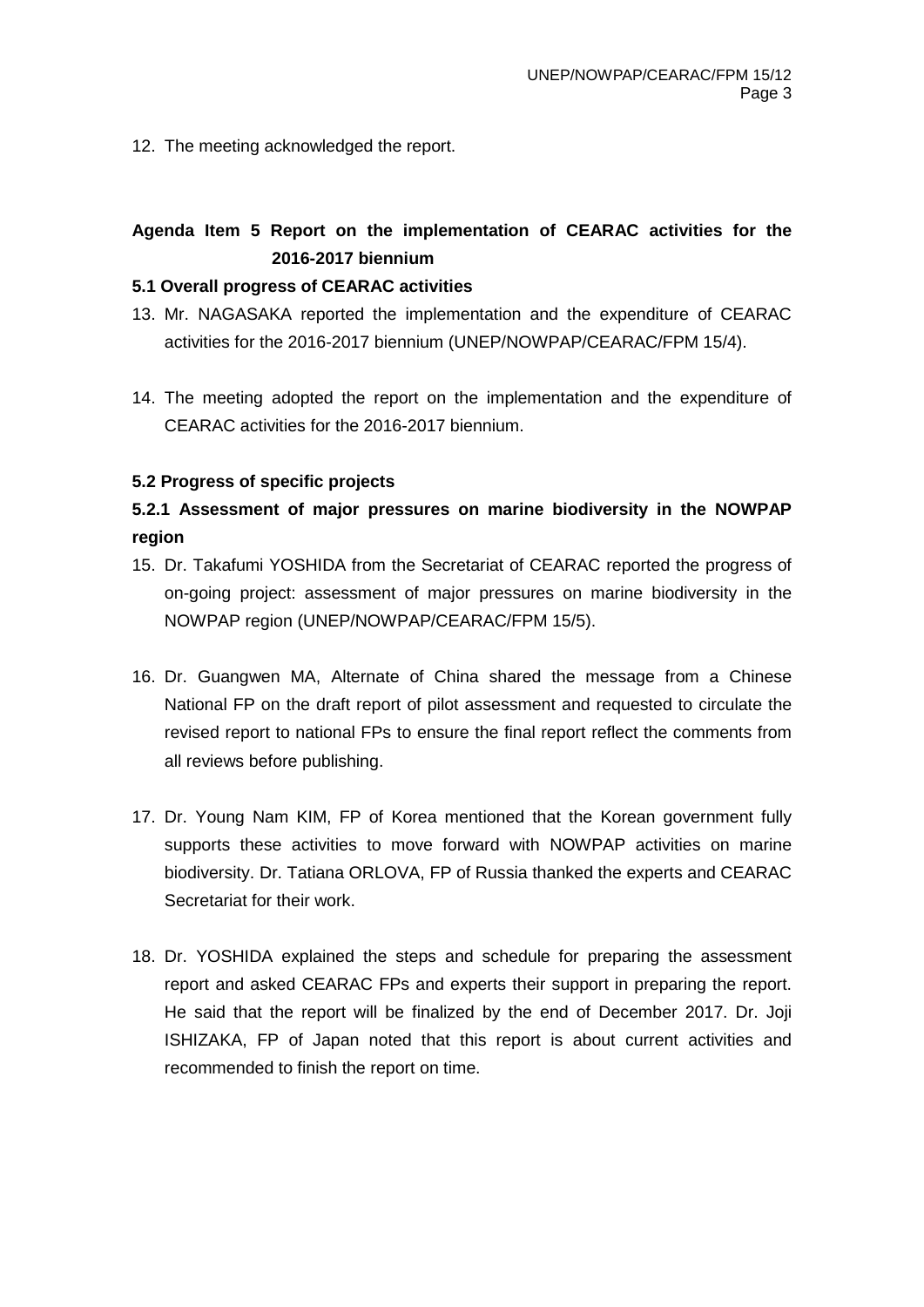12. The meeting acknowledged the report.

## **Agenda Item 5 Report on the implementation of CEARAC activities for the 2016-2017 biennium**

#### **5.1 Overall progress of CEARAC activities**

- 13. Mr. NAGASAKA reported the implementation and the expenditure of CEARAC activities for the 2016-2017 biennium (UNEP/NOWPAP/CEARAC/FPM 15/4).
- 14. The meeting adopted the report on the implementation and the expenditure of CEARAC activities for the 2016-2017 biennium.

#### **5.2 Progress of specific projects**

## **5.2.1 Assessment of major pressures on marine biodiversity in the NOWPAP region**

- 15. Dr. Takafumi YOSHIDA from the Secretariat of CEARAC reported the progress of on-going project: assessment of major pressures on marine biodiversity in the NOWPAP region (UNEP/NOWPAP/CEARAC/FPM 15/5).
- 16. Dr. Guangwen MA, Alternate of China shared the message from a Chinese National FP on the draft report of pilot assessment and requested to circulate the revised report to national FPs to ensure the final report reflect the comments from all reviews before publishing.
- 17. Dr. Young Nam KIM, FP of Korea mentioned that the Korean government fully supports these activities to move forward with NOWPAP activities on marine biodiversity. Dr. Tatiana ORLOVA, FP of Russia thanked the experts and CEARAC Secretariat for their work.
- 18. Dr. YOSHIDA explained the steps and schedule for preparing the assessment report and asked CEARAC FPs and experts their support in preparing the report. He said that the report will be finalized by the end of December 2017. Dr. Joji ISHIZAKA, FP of Japan noted that this report is about current activities and recommended to finish the report on time.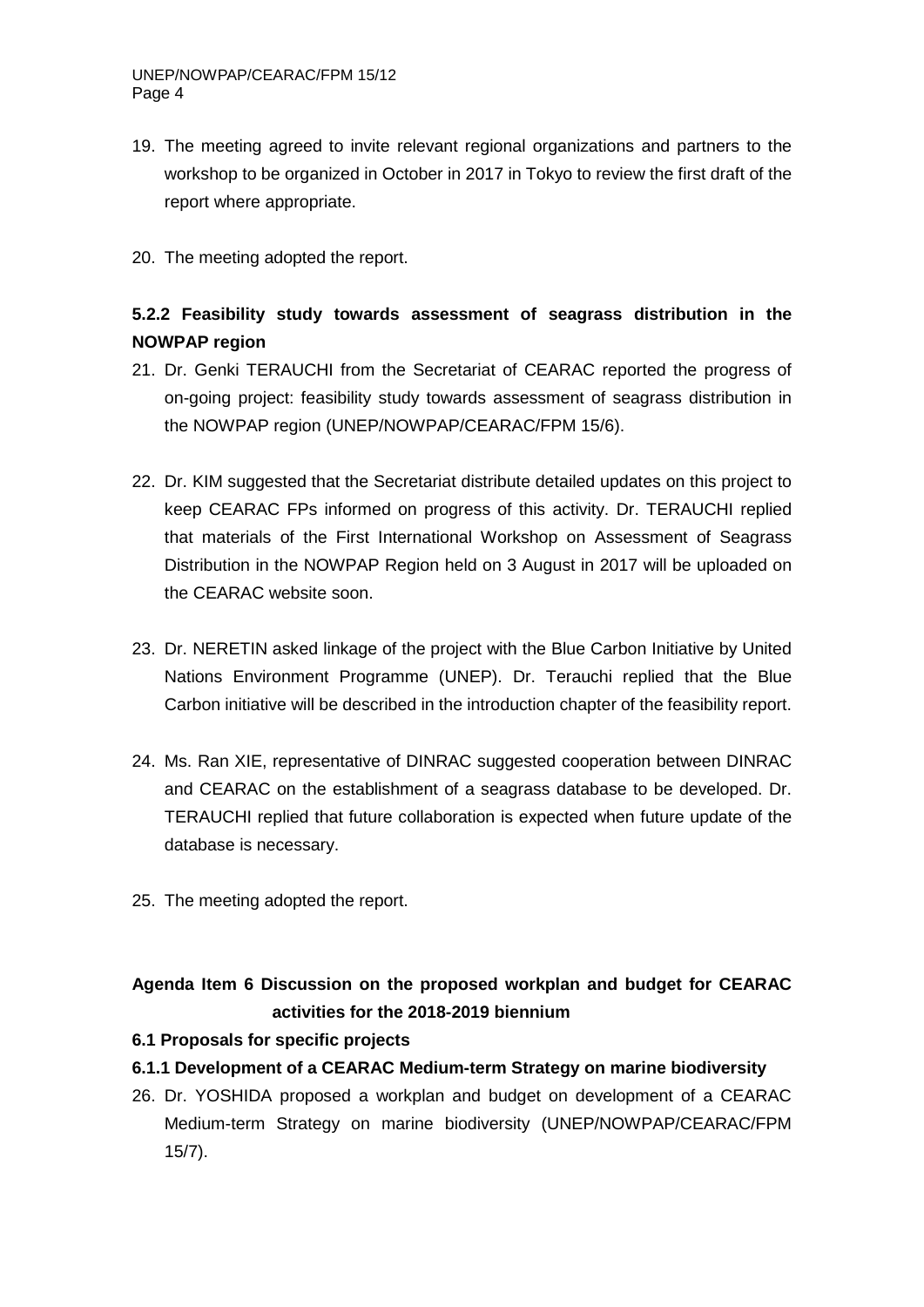- 19. The meeting agreed to invite relevant regional organizations and partners to the workshop to be organized in October in 2017 in Tokyo to review the first draft of the report where appropriate.
- 20. The meeting adopted the report.

## **5.2.2 Feasibility study towards assessment of seagrass distribution in the NOWPAP region**

- 21. Dr. Genki TERAUCHI from the Secretariat of CEARAC reported the progress of on-going project: feasibility study towards assessment of seagrass distribution in the NOWPAP region (UNEP/NOWPAP/CEARAC/FPM 15/6).
- 22. Dr. KIM suggested that the Secretariat distribute detailed updates on this project to keep CEARAC FPs informed on progress of this activity. Dr. TERAUCHI replied that materials of the First International Workshop on Assessment of Seagrass Distribution in the NOWPAP Region held on 3 August in 2017 will be uploaded on the CEARAC website soon.
- 23. Dr. NERETIN asked linkage of the project with the Blue Carbon Initiative by United Nations Environment Programme (UNEP). Dr. Terauchi replied that the Blue Carbon initiative will be described in the introduction chapter of the feasibility report.
- 24. Ms. Ran XIE, representative of DINRAC suggested cooperation between DINRAC and CEARAC on the establishment of a seagrass database to be developed. Dr. TERAUCHI replied that future collaboration is expected when future update of the database is necessary.
- 25. The meeting adopted the report.

# **Agenda Item 6 Discussion on the proposed workplan and budget for CEARAC activities for the 2018-2019 biennium**

- **6.1 Proposals for specific projects**
- **6.1.1 Development of a CEARAC Medium-term Strategy on marine biodiversity**
- 26. Dr. YOSHIDA proposed a workplan and budget on development of a CEARAC Medium-term Strategy on marine biodiversity (UNEP/NOWPAP/CEARAC/FPM 15/7).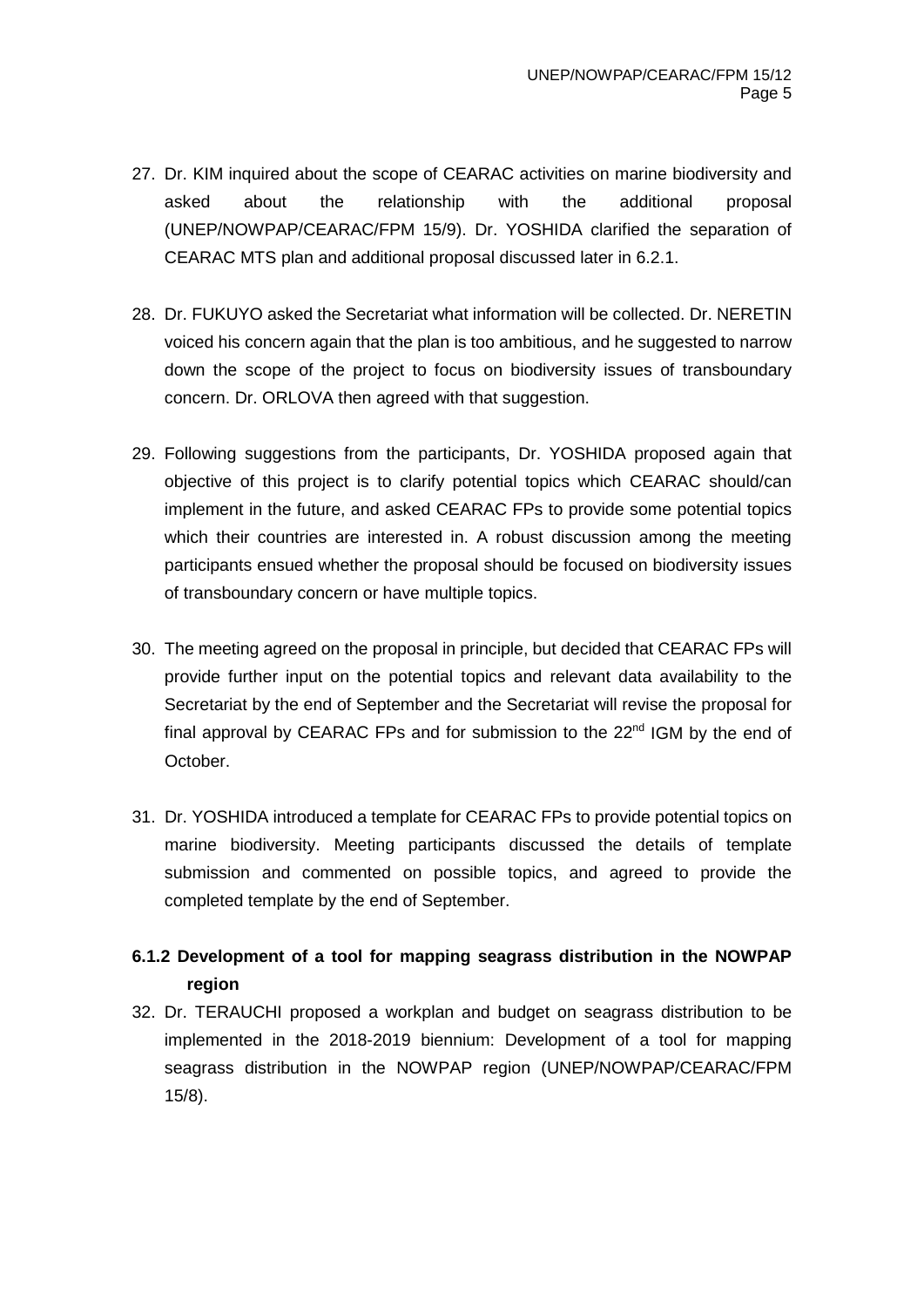- 27. Dr. KIM inquired about the scope of CEARAC activities on marine biodiversity and asked about the relationship with the additional proposal (UNEP/NOWPAP/CEARAC/FPM 15/9). Dr. YOSHIDA clarified the separation of CEARAC MTS plan and additional proposal discussed later in 6.2.1.
- 28. Dr. FUKUYO asked the Secretariat what information will be collected. Dr. NERETIN voiced his concern again that the plan is too ambitious, and he suggested to narrow down the scope of the project to focus on biodiversity issues of transboundary concern. Dr. ORLOVA then agreed with that suggestion.
- 29. Following suggestions from the participants, Dr. YOSHIDA proposed again that objective of this project is to clarify potential topics which CEARAC should/can implement in the future, and asked CEARAC FPs to provide some potential topics which their countries are interested in. A robust discussion among the meeting participants ensued whether the proposal should be focused on biodiversity issues of transboundary concern or have multiple topics.
- 30. The meeting agreed on the proposal in principle, but decided that CEARAC FPs will provide further input on the potential topics and relevant data availability to the Secretariat by the end of September and the Secretariat will revise the proposal for final approval by CEARAC FPs and for submission to the  $22<sup>nd</sup>$  IGM by the end of October.
- 31. Dr. YOSHIDA introduced a template for CEARAC FPs to provide potential topics on marine biodiversity. Meeting participants discussed the details of template submission and commented on possible topics, and agreed to provide the completed template by the end of September.

### **6.1.2 Development of a tool for mapping seagrass distribution in the NOWPAP region**

32. Dr. TERAUCHI proposed a workplan and budget on seagrass distribution to be implemented in the 2018-2019 biennium: Development of a tool for mapping seagrass distribution in the NOWPAP region (UNEP/NOWPAP/CEARAC/FPM 15/8).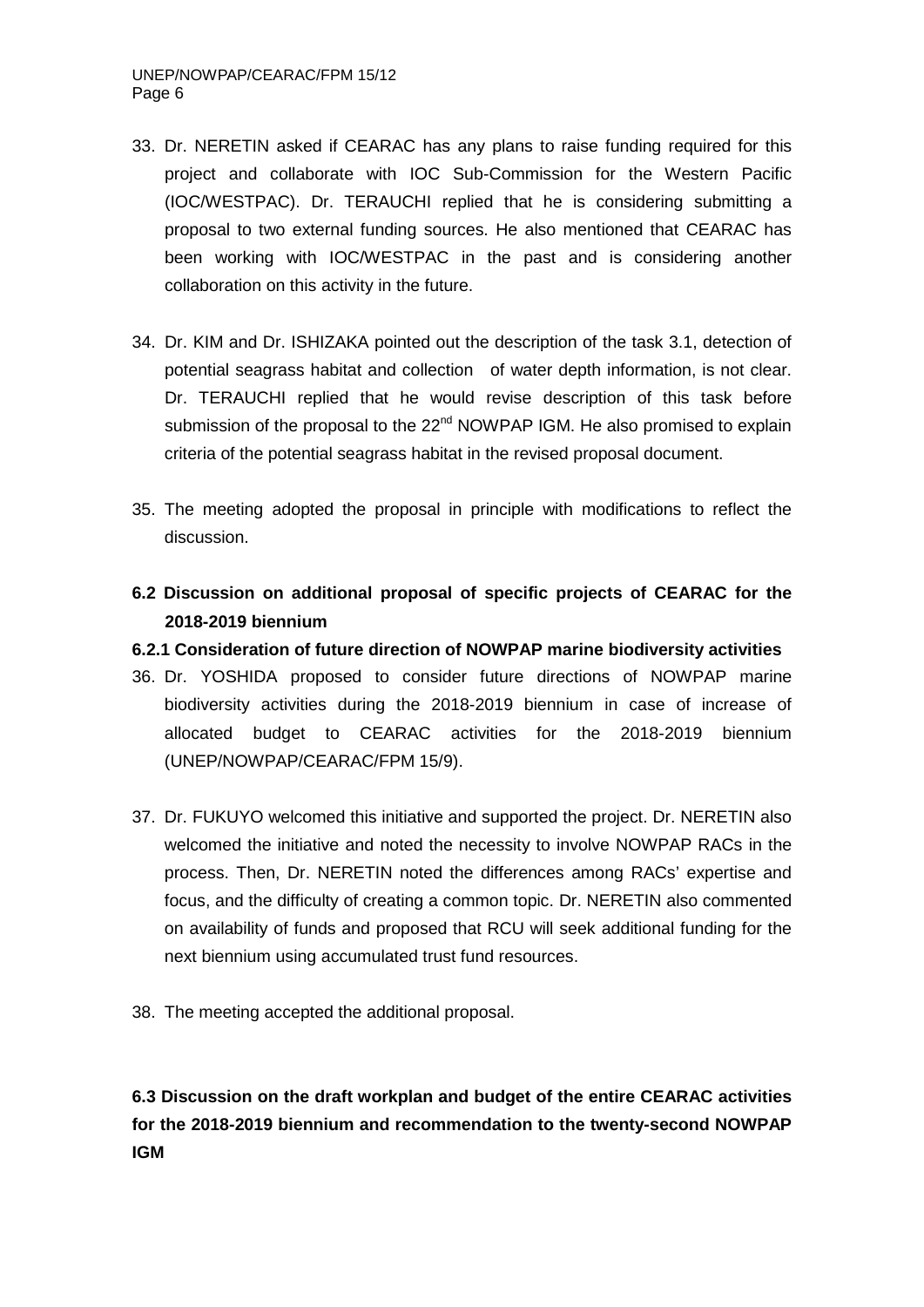- 33. Dr. NERETIN asked if CEARAC has any plans to raise funding required for this project and collaborate with IOC Sub-Commission for the Western Pacific (IOC/WESTPAC). Dr. TERAUCHI replied that he is considering submitting a proposal to two external funding sources. He also mentioned that CEARAC has been working with IOC/WESTPAC in the past and is considering another collaboration on this activity in the future.
- 34. Dr. KIM and Dr. ISHIZAKA pointed out the description of the task 3.1, detection of potential seagrass habitat and collection of water depth information, is not clear. Dr. TERAUCHI replied that he would revise description of this task before submission of the proposal to the 22<sup>nd</sup> NOWPAP IGM. He also promised to explain criteria of the potential seagrass habitat in the revised proposal document.
- 35. The meeting adopted the proposal in principle with modifications to reflect the discussion.
- **6.2 Discussion on additional proposal of specific projects of CEARAC for the 2018-2019 biennium**
- **6.2.1 Consideration of future direction of NOWPAP marine biodiversity activities**
- 36. Dr. YOSHIDA proposed to consider future directions of NOWPAP marine biodiversity activities during the 2018-2019 biennium in case of increase of allocated budget to CEARAC activities for the 2018-2019 biennium (UNEP/NOWPAP/CEARAC/FPM 15/9).
- 37. Dr. FUKUYO welcomed this initiative and supported the project. Dr. NERETIN also welcomed the initiative and noted the necessity to involve NOWPAP RACs in the process. Then, Dr. NERETIN noted the differences among RACs' expertise and focus, and the difficulty of creating a common topic. Dr. NERETIN also commented on availability of funds and proposed that RCU will seek additional funding for the next biennium using accumulated trust fund resources.
- 38. The meeting accepted the additional proposal.

**6.3 Discussion on the draft workplan and budget of the entire CEARAC activities for the 2018-2019 biennium and recommendation to the twenty-second NOWPAP IGM**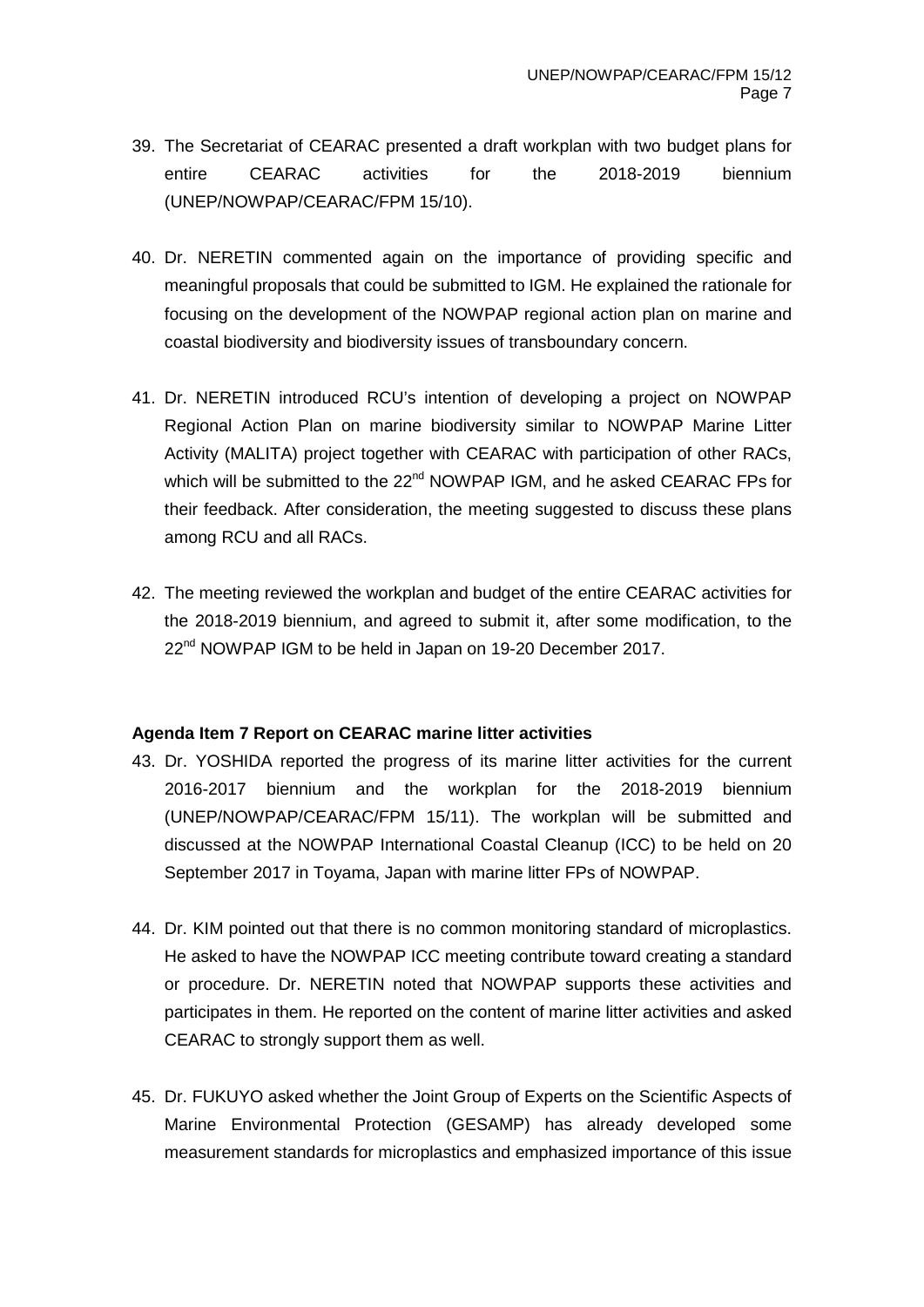- 39. The Secretariat of CEARAC presented a draft workplan with two budget plans for entire CEARAC activities for the 2018-2019 biennium (UNEP/NOWPAP/CEARAC/FPM 15/10).
- 40. Dr. NERETIN commented again on the importance of providing specific and meaningful proposals that could be submitted to IGM. He explained the rationale for focusing on the development of the NOWPAP regional action plan on marine and coastal biodiversity and biodiversity issues of transboundary concern.
- 41. Dr. NERETIN introduced RCU's intention of developing a project on NOWPAP Regional Action Plan on marine biodiversity similar to NOWPAP Marine Litter Activity (MALITA) project together with CEARAC with participation of other RACs, which will be submitted to the 22<sup>nd</sup> NOWPAP IGM, and he asked CEARAC FPs for their feedback. After consideration, the meeting suggested to discuss these plans among RCU and all RACs.
- 42. The meeting reviewed the workplan and budget of the entire CEARAC activities for the 2018-2019 biennium, and agreed to submit it, after some modification, to the 22<sup>nd</sup> NOWPAP IGM to be held in Japan on 19-20 December 2017.

#### **Agenda Item 7 Report on CEARAC marine litter activities**

- 43. Dr. YOSHIDA reported the progress of its marine litter activities for the current 2016-2017 biennium and the workplan for the 2018-2019 biennium (UNEP/NOWPAP/CEARAC/FPM 15/11). The workplan will be submitted and discussed at the NOWPAP International Coastal Cleanup (ICC) to be held on 20 September 2017 in Toyama, Japan with marine litter FPs of NOWPAP.
- 44. Dr. KIM pointed out that there is no common monitoring standard of microplastics. He asked to have the NOWPAP ICC meeting contribute toward creating a standard or procedure. Dr. NERETIN noted that NOWPAP supports these activities and participates in them. He reported on the content of marine litter activities and asked CEARAC to strongly support them as well.
- 45. Dr. FUKUYO asked whether the Joint Group of Experts on the Scientific Aspects of Marine Environmental Protection (GESAMP) has already developed some measurement standards for microplastics and emphasized importance of this issue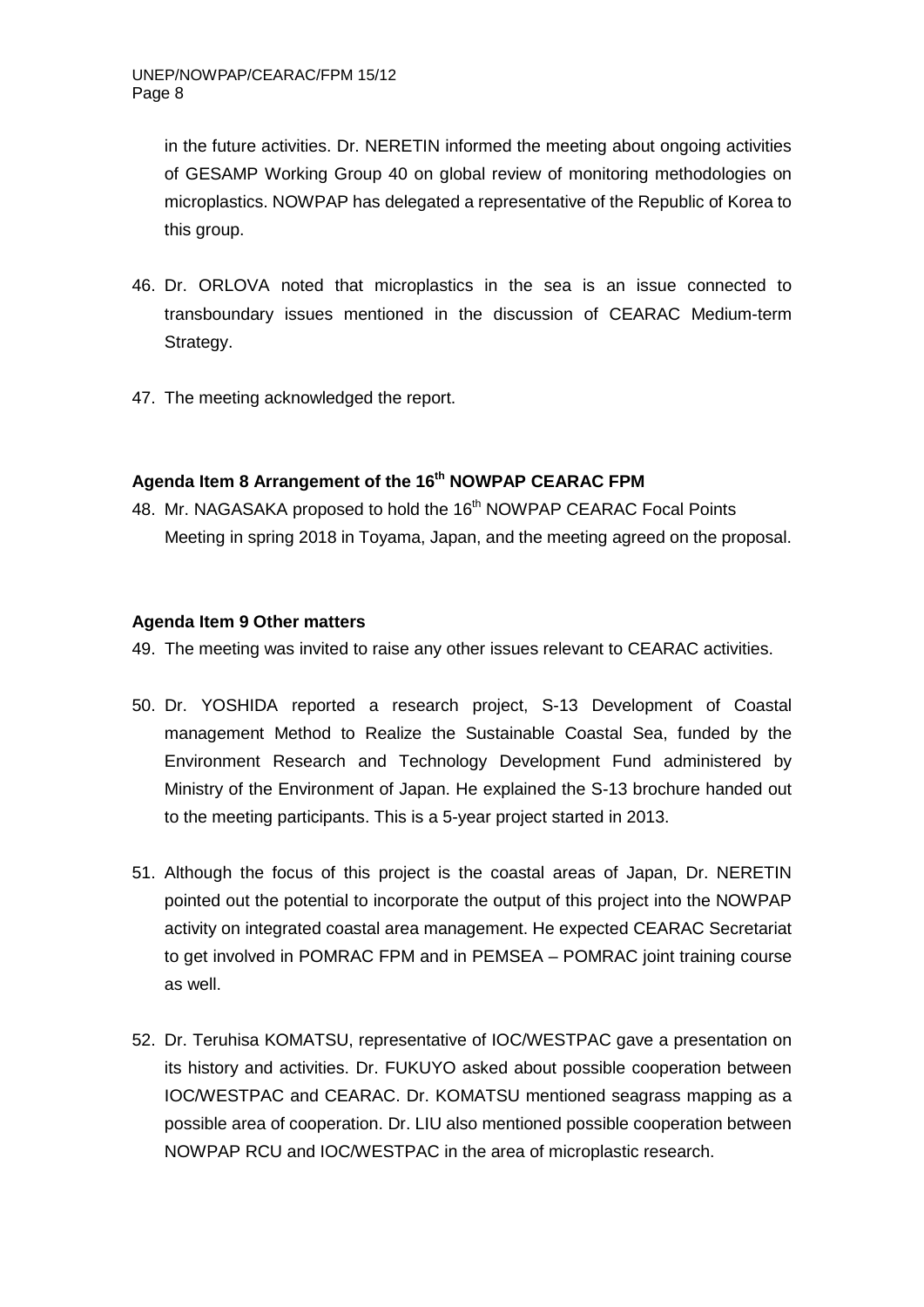in the future activities. Dr. NERETIN informed the meeting about ongoing activities of GESAMP Working Group 40 on global review of monitoring methodologies on microplastics. NOWPAP has delegated a representative of the Republic of Korea to this group.

- 46. Dr. ORLOVA noted that microplastics in the sea is an issue connected to transboundary issues mentioned in the discussion of CEARAC Medium-term Strategy.
- 47. The meeting acknowledged the report.

### **Agenda Item 8 Arrangement of the 16th NOWPAP CEARAC FPM**

48. Mr. NAGASAKA proposed to hold the 16<sup>th</sup> NOWPAP CEARAC Focal Points Meeting in spring 2018 in Toyama, Japan, and the meeting agreed on the proposal.

#### **Agenda Item 9 Other matters**

49. The meeting was invited to raise any other issues relevant to CEARAC activities.

- 50. Dr. YOSHIDA reported a research project, S-13 Development of Coastal management Method to Realize the Sustainable Coastal Sea, funded by the Environment Research and Technology Development Fund administered by Ministry of the Environment of Japan. He explained the S-13 brochure handed out to the meeting participants. This is a 5-year project started in 2013.
- 51. Although the focus of this project is the coastal areas of Japan, Dr. NERETIN pointed out the potential to incorporate the output of this project into the NOWPAP activity on integrated coastal area management. He expected CEARAC Secretariat to get involved in POMRAC FPM and in PEMSEA – POMRAC joint training course as well.
- 52. Dr. Teruhisa KOMATSU, representative of IOC/WESTPAC gave a presentation on its history and activities. Dr. FUKUYO asked about possible cooperation between IOC/WESTPAC and CEARAC. Dr. KOMATSU mentioned seagrass mapping as a possible area of cooperation. Dr. LIU also mentioned possible cooperation between NOWPAP RCU and IOC/WESTPAC in the area of microplastic research.